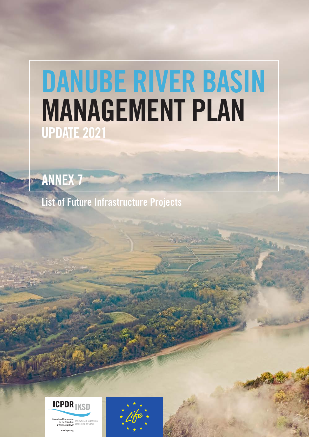## DANUBE RIVER BASIN MANAGEMENT PLAN UPDATE 2021

ANNEX 7

List of Future Infrastructure Projects



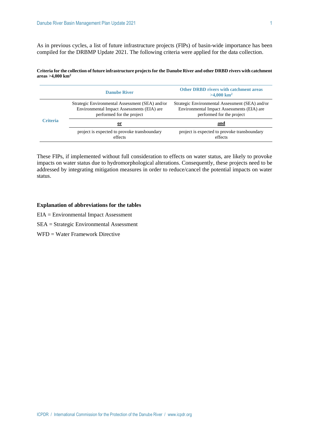As in previous cycles, a list of future infrastructure projects (FIPs) of basin-wide importance has been compiled for the DRBMP Update 2021. The following criteria were applied for the data collection.

**Criteria for the collection of future infrastructure projects for the Danube River and other DRBD rivers with catchment areas >4,000 km<sup>2</sup>**

|                 | <b>Danube River</b>                                                                                                        | <b>Other DRBD rivers with catchment areas</b><br>$>4.000 \mathrm{km}^2$                                                    |  |  |  |  |  |
|-----------------|----------------------------------------------------------------------------------------------------------------------------|----------------------------------------------------------------------------------------------------------------------------|--|--|--|--|--|
|                 | Strategic Environmental Assessment (SEA) and/or<br>Environmental Impact Assessments (EIA) are<br>performed for the project | Strategic Environmental Assessment (SEA) and/or<br>Environmental Impact Assessments (EIA) are<br>performed for the project |  |  |  |  |  |
| <b>Criteria</b> | <u>or</u>                                                                                                                  | and                                                                                                                        |  |  |  |  |  |
|                 | project is expected to provoke transboundary<br>effects                                                                    | project is expected to provoke transboundary<br>effects                                                                    |  |  |  |  |  |

These FIPs, if implemented without full consideration to effects on water status, are likely to provoke impacts on water status due to hydromorphological alterations. Consequently, these projects need to be addressed by integrating mitigation measures in order to reduce/cancel the potential impacts on water status.

## **Explanation of abbreviations for the tables**

- EIA = Environmental Impact Assessment
- SEA = Strategic Environmental Assessment
- WFD = Water Framework Directive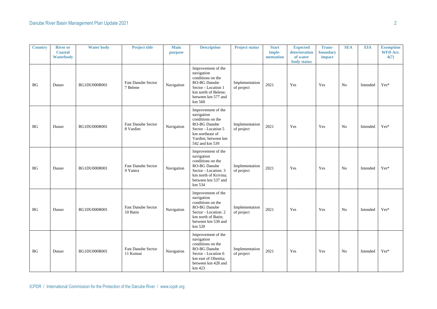| <b>Country</b> | <b>River or</b><br><b>Coastal</b><br><b>Waterbody</b> | <b>Water body</b> | <b>Project title</b>                   | <b>Main</b><br>purpose | <b>Description</b>                                                                                                                                      | <b>Project status</b>        | <b>Start</b><br>imple-<br>mentation | <b>Expected</b><br>deterioration<br>of water<br>body status | <b>Trans-</b><br>boundary<br>impact | <b>SEA</b>     | <b>EIA</b> | <b>Exemption</b><br>WFD Art.<br>4(7) |
|----------------|-------------------------------------------------------|-------------------|----------------------------------------|------------------------|---------------------------------------------------------------------------------------------------------------------------------------------------------|------------------------------|-------------------------------------|-------------------------------------------------------------|-------------------------------------|----------------|------------|--------------------------------------|
| <b>BG</b>      | Dunav                                                 | BG1DU000R001      | Fast Danube Sector<br>7 Belene         | Navigation             | Improvement of the<br>navigation<br>conditions on the<br>RO-BG Danube<br>Sector - Location 1<br>km north of Belene;<br>between km 577 and<br>km 560     | Implementation<br>of project | 2021                                | Yes                                                         | Yes                                 | N <sub>0</sub> | Intended   | $Yes*$                               |
| <b>BG</b>      | Dunav                                                 | BG1DU000R001      | <b>Fast Danube Sector</b><br>8 Vardim  | Navigation             | Improvement of the<br>navigation<br>conditions on the<br>RO-BG Danube<br>Sector - Location 5<br>km northeast of<br>Vardim; between km<br>542 and km 539 | Implementation<br>of project | 2021                                | Yes                                                         | Yes                                 | N <sub>o</sub> | Intended   | $Yes*$                               |
| BG             | Dunav                                                 | BG1DU000R001      | <b>Fast Danube Sector</b><br>9 Yantra  | Navigation             | Improvement of the<br>navigation<br>conditions on the<br>RO-BG Danube<br>Sector - Location: 3<br>km north of Krivina;<br>between km 537 and<br>km 534   | Implementation<br>of project | 2021                                | Yes                                                         | Yes                                 | N <sub>o</sub> | Intended   | $Yes*$                               |
| BG             | Dunav                                                 | BG1DU000R001      | <b>Fast Danube Sector</b><br>10 Batin  | Navigation             | Improvement of the<br>navigation<br>conditions on the<br>RO-BG Danube<br>Sector - Location: 2<br>km north of Batin;<br>between km 530 and<br>km 520     | Implementation<br>of project | 2021                                | Yes                                                         | Yes                                 | N <sub>o</sub> | Intended   | Yes*                                 |
| <b>BG</b>      | Dunav                                                 | BG1DU000R001      | <b>Fast Danube Sector</b><br>11 Konsui | Navigation             | Improvement of the<br>navigation<br>conditions on the<br>RO-BG Danube<br>Sector - Location 6<br>km east of Oltenita;<br>between km 428 and<br>km 423    | Implementation<br>of project | 2021                                | Yes                                                         | Yes                                 | No             | Intended   | $Yes*$                               |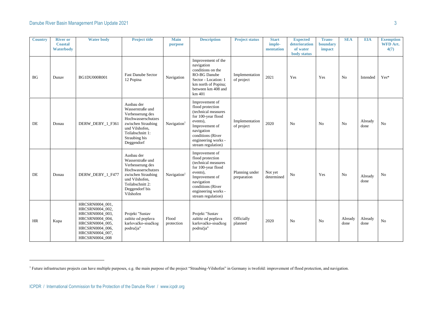| <b>Country</b> | <b>River or</b><br><b>Coastal</b><br>Waterbody | <b>Water body</b>                                                                                                                                   | <b>Project title</b>                                                                                                                                                | <b>Main</b><br>purpose  | <b>Description</b>                                                                                                                                                                            | <b>Project status</b>         | <b>Start</b><br>imple-<br>mentation | <b>Expected</b><br>deterioration<br>of water<br>body status | <b>Trans-</b><br>boundary<br>impact | <b>SEA</b>      | <b>EIA</b>      | <b>Exemption</b><br><b>WFD Art.</b><br>4(7) |
|----------------|------------------------------------------------|-----------------------------------------------------------------------------------------------------------------------------------------------------|---------------------------------------------------------------------------------------------------------------------------------------------------------------------|-------------------------|-----------------------------------------------------------------------------------------------------------------------------------------------------------------------------------------------|-------------------------------|-------------------------------------|-------------------------------------------------------------|-------------------------------------|-----------------|-----------------|---------------------------------------------|
| <b>BG</b>      | Dunav                                          | BG1DU000R001                                                                                                                                        | <b>Fast Danube Sector</b><br>12 Popina                                                                                                                              | Navigation              | Improvement of the<br>navigation<br>conditions on the<br><b>RO-BG Danube</b><br>Sector - Location: 1<br>km north of Popina;<br>between km 408 and<br>km 401                                   | Implementation<br>of project  | 2021                                | Yes                                                         | Yes                                 | N <sub>o</sub>  | Intended        | $Yes*$                                      |
| DE             | Donau                                          | DERW DEBY 1 F361                                                                                                                                    | Ausbau der<br>Wasserstraße und<br>Verbesserung des<br>Hochwasserschutzes<br>zwischen Straubing<br>und Vilshofen,<br>Teilabschnitt 1:<br>Straubing bis<br>Deggendorf | Navigation              | Improvement of<br>flood protection<br>(technical measures<br>for 100-year flood<br>events),<br>Improvement of<br>navigation<br>conditions (River<br>engineering works -<br>stream regulation) | Implementation<br>of project  | 2020                                | N <sub>o</sub>                                              | N <sub>0</sub>                      | N <sub>o</sub>  | Already<br>done | No                                          |
| DE             | Donau                                          | DERW DEBY 1 F477                                                                                                                                    | Ausbau der<br>Wasserstraße und<br>Verbesserung des<br>Hochwasserschutzes<br>zwischen Straubing<br>und Vilshofen,<br>Teilabschnitt 2:<br>Deggendorf bis<br>Vilshofen | Navigation <sup>1</sup> | Improvement of<br>flood protection<br>(technical measures<br>for 100-year flood<br>events).<br>Improvement of<br>navigation<br>conditions (River<br>engineering works -<br>stream regulation) | Planning under<br>preparation | Not yet<br>determined               | No                                                          | Yes                                 | No              | Already<br>done | No                                          |
| <b>HR</b>      | Kupa                                           | HRCSRN0004_001,<br>HRCSRN0004_002,<br>HRCSRN0004_003,<br>HRCSRN0004 004,<br>HRCSRN0004_005,<br>HRCSRN0004_006,<br>HRCSRN0004 007,<br>HRCSRN0004_008 | Projekt "Sustav<br>zaštite od poplava<br>karlovačko-sisačkog<br>područja"                                                                                           | Flood<br>protection     | Projekt "Sustav<br>zaštite od poplava<br>karlovačko-sisačkog<br>područja"                                                                                                                     | Officially<br>planned         | 2020                                | No                                                          | N <sub>0</sub>                      | Already<br>done | Already<br>done | No                                          |

<sup>&</sup>lt;sup>1</sup> Future infrastructure projects can have multiple purposes, e.g. the main purpose of the project "Straubing-Vilshofen" in Germany is twofold: improvement of flood protection, and navigation.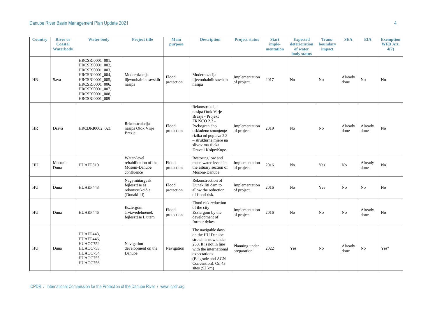| <b>Country</b> | <b>River or</b><br><b>Coastal</b> | <b>Water body</b>                                                                                                                                                      | <b>Project title</b>                                                | <b>Main</b><br>purpose | <b>Description</b>                                                                                                                                                                                           | <b>Project status</b>         | <b>Start</b><br>imple- | <b>Expected</b><br>deterioration | <b>Trans-</b><br>boundary | <b>SEA</b>      | <b>EIA</b>      | <b>Exemption</b><br><b>WFD Art.</b> |
|----------------|-----------------------------------|------------------------------------------------------------------------------------------------------------------------------------------------------------------------|---------------------------------------------------------------------|------------------------|--------------------------------------------------------------------------------------------------------------------------------------------------------------------------------------------------------------|-------------------------------|------------------------|----------------------------------|---------------------------|-----------------|-----------------|-------------------------------------|
|                | <b>Waterbody</b>                  |                                                                                                                                                                        |                                                                     |                        |                                                                                                                                                                                                              |                               | mentation              | of water<br>body status          | impact                    |                 |                 | 4(7)                                |
| <b>HR</b>      | Sava                              | HRCSRI0001_001,<br>HRCSRI0001_002,<br>HRCSRI0001_003,<br>HRCSRI0001_004,<br>HRCSRI0001_005,<br>HRCSRI0001_006,<br>HRCSRI0001_007,<br>HRCSRI0001_008,<br>HRCSRI0001_009 | Modernizacija<br>lijevoobalnih savskih<br>nasipa                    | Flood<br>protection    | Modernizacija<br>lijevoobalnih savskih<br>nasipa                                                                                                                                                             | Implementation<br>of project  | 2017                   | N <sub>o</sub>                   | N <sub>0</sub>            | Already<br>done | No              | No                                  |
| HR             | Drava                             | HRCDRI0002_021                                                                                                                                                         | Rekonstrukcija<br>nasipa Otok Virje<br><b>Brezje</b>                | Flood<br>protection    | Rekonstrukcija<br>nasipa Otok Virje<br>Brezje - Projekt<br>FRISCO 2.3 -<br>Prekogranično<br>usklađeno smanjenje<br>rizika od poplava 2.3<br>- strukturne mjere na<br>slivovima rijeka<br>Drave i Kolpe/Kupe. | Implementation<br>of project  | 2019                   | No                               | No                        | Already<br>done | Already<br>done | $\rm No$                            |
| HU             | Mosoni-<br>Duna                   | HUAEP810                                                                                                                                                               | Water-level<br>rehabilitation of the<br>Mosoni-Danube<br>confluence | Flood<br>protection    | Restoring low and<br>mean water levels in<br>the estuary section of<br>Mosoni-Danube                                                                                                                         | Implementation<br>of project  | 2016                   | N <sub>o</sub>                   | Yes                       | N <sub>o</sub>  | Already<br>done | No                                  |
| HU             | Duna                              | HUAEP443                                                                                                                                                               | Nagyműtárgyak<br>fejlesztése és<br>rekonstrukciója<br>(Dunakiliti)  | Flood<br>protection    | Rekonstruction of<br>Dunakiliti dam to<br>allow the reduction<br>of flood risk.                                                                                                                              | Implementation<br>of project  | 2016                   | No                               | Yes                       | No              | No              | No                                  |
| HU             | Duna                              | HUAEP446                                                                                                                                                               | Esztergom<br>árvízvédelmének<br>fejlesztése I. ütem                 | Flood<br>protection    | Flood risk reduction<br>of the city<br>Esztergom by the<br>development of<br>former dykes.                                                                                                                   | Implementation<br>of project  | 2016                   | No                               | No                        | No              | Already<br>done | No                                  |
| HU             | Duna                              | HUAEP443,<br>HUAEP446,<br>HUAOC752,<br>HUAOC753,<br>HUAOC754,<br>HUAOC755,<br>HUAOC756                                                                                 | Navigation<br>development on the<br>Danube                          | Navigation             | The navigable days<br>on the HU Danube<br>stretch is now under<br>250. It is not in line<br>with the international<br>expectations<br>(Belgrade and AGN<br>Convention). On 43<br>sites (92 km)               | Planning under<br>preparation | 2022                   | Yes                              | No                        | Already<br>done | No              | $Yes*$                              |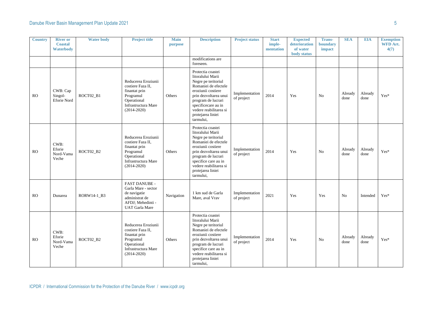| <b>Country</b> | <b>River or</b><br><b>Coastal</b><br><b>Waterbody</b> | <b>Water body</b> | <b>Project title</b>                                                                                                            | <b>Main</b><br>purpose | <b>Description</b>                                                                                                                                                                                                                             | <b>Project status</b>        | <b>Start</b><br>imple-<br>mentation | <b>Expected</b><br>deterioration<br>of water<br>body status | <b>Trans-</b><br>boundary<br>impact | <b>SEA</b>      | <b>EIA</b>      | <b>Exemption</b><br><b>WFD Art.</b><br>4(7) |
|----------------|-------------------------------------------------------|-------------------|---------------------------------------------------------------------------------------------------------------------------------|------------------------|------------------------------------------------------------------------------------------------------------------------------------------------------------------------------------------------------------------------------------------------|------------------------------|-------------------------------------|-------------------------------------------------------------|-------------------------------------|-----------------|-----------------|---------------------------------------------|
|                |                                                       |                   |                                                                                                                                 |                        | modifications are<br>foreseen.                                                                                                                                                                                                                 |                              |                                     |                                                             |                                     |                 |                 |                                             |
| <b>RO</b>      | CWB: Cap<br>Singol-<br><b>Eforie Nord</b>             | ROCT02_B1         | Reducerea Eroziunii<br>costiere Faza II,<br>finantat prin<br>Programul<br>Operational<br>Infrastructura Mare<br>$(2014 - 2020)$ | Others                 | Protectia coastei<br>litoralului Marii<br>Negre pe teritoriul<br>Romaniei de efectele<br>eroziunii costiere<br>prin dezvoltarea unui<br>program de lucrari<br>specificecare au in<br>vedere reabilitarea si<br>protejarea liniei<br>tarmului,  | Implementation<br>of project | 2014                                | Yes                                                         | No                                  | Already<br>done | Already<br>done | $\mathrm{Yes}^*$                            |
| <b>RO</b>      | CWB:<br>Eforie<br>Nord-Vama<br>Veche                  | ROCT02_B2         | Reducerea Eroziunii<br>costiere Faza II,<br>finantat prin<br>Programul<br>Operational<br>Infrastructura Mare<br>$(2014 - 2020)$ | Others                 | Protectia coastei<br>litoralului Marii<br>Negre pe teritoriul<br>Romaniei de efectele<br>eroziunii costiere<br>prin dezvoltarea unui<br>program de lucrari<br>specifice care au in<br>vedere reabilitarea si<br>protejarea liniei<br>tarmului. | Implementation<br>of project | 2014                                | Yes                                                         | N <sub>0</sub>                      | Already<br>done | Already<br>done | Yes*                                        |
| <b>RO</b>      | Dunarea                                               | RORW14-1_B3       | <b>FAST DANUBE -</b><br>Garla Mare - sector<br>de navigatie<br>administrat de<br>AFDJ; Mehedinti -<br><b>UAT</b> Garla Mare     | Navigation             | 1 km sud de Garla<br>Mare, aval Vrav                                                                                                                                                                                                           | Implementation<br>of project | 2021                                | Yes                                                         | Yes                                 | N <sub>0</sub>  | Intended        | $Yes*$                                      |
| RO             | CWB:<br>Eforie<br>Nord-Vama<br>Veche                  | ROCT02 B2         | Reducerea Eroziunii<br>costiere Faza II.<br>finantat prin<br>Programul<br>Operational<br>Infrastructura Mare<br>$(2014 - 2020)$ | Others                 | Protectia coastei<br>litoralului Marii<br>Negre pe teritoriul<br>Romaniei de efectele<br>eroziunii costiere<br>prin dezvoltarea unui<br>program de lucrari<br>specifice care au in<br>vedere reabilitarea si<br>protejarea liniei<br>tarmului, | Implementation<br>of project | 2014                                | Yes                                                         | N <sub>0</sub>                      | Already<br>done | Already<br>done | Yes*                                        |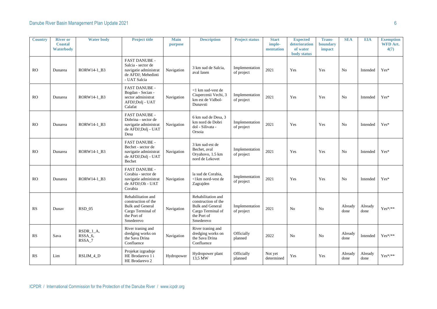| <b>Country</b> | <b>River or</b><br><b>Coastal</b><br><b>Waterbody</b> | <b>Water body</b>                           | <b>Project title</b>                                                                                                  | <b>Main</b><br>purpose | <b>Description</b>                                                                                                    | <b>Project status</b>        | <b>Start</b><br>imple-<br>mentation | <b>Expected</b><br>deterioration<br>of water<br>body status | <b>Trans-</b><br>boundary<br>impact | <b>SEA</b>      | <b>EIA</b>      | <b>Exemption</b><br>WFD Art.<br>4(7) |
|----------------|-------------------------------------------------------|---------------------------------------------|-----------------------------------------------------------------------------------------------------------------------|------------------------|-----------------------------------------------------------------------------------------------------------------------|------------------------------|-------------------------------------|-------------------------------------------------------------|-------------------------------------|-----------------|-----------------|--------------------------------------|
| <b>RO</b>      | Dunarea                                               | RORW14-1_B3                                 | FAST DANUBE -<br>Salcia - sector de<br>navigatie administrat<br>de AFDJ; Mehedinti<br>- UAT Salcia                    | Navigation             | 3 km sud de Salcia.<br>aval Iasen                                                                                     | Implementation<br>of project | 2021                                | Yes                                                         | Yes                                 | N <sub>o</sub>  | Intended        | $Yes*$                               |
| RO             | Dunarea                                               | RORW14-1 B3                                 | <b>FAST DANUBE -</b><br>Bogdan - Secian -<br>sector administrat<br>AFDJ;Dolj - UAT<br>Calafat                         | Navigation             | <1 km sud-vest de<br>Ciupercenii Vechi, 3<br>km est de Vidbol-<br>Dunavsti                                            | Implementation<br>of project | 2021                                | Yes                                                         | Yes                                 | N <sub>o</sub>  | Intended        | $Yes*$                               |
| <sub>RO</sub>  | Dunarea                                               | RORW14-1 B3                                 | <b>FAST DANUBE -</b><br>Dobrina - sector de<br>navigatie administrat<br>de AFDJ;Dolj - UAT<br>Desa                    | Navigation             | 6 km sud de Desa, 3<br>km nord de Dobri<br>dol - Silivata -<br>Orsoia                                                 | Implementation<br>of project | 2021                                | Yes                                                         | Yes                                 | N <sub>0</sub>  | Intended        | $Yes*$                               |
| <b>RO</b>      | Dunarea                                               | RORW14-1_B3                                 | <b>FAST DANUBE -</b><br>Bechet - sector de<br>navigatie administrat<br>de AFDJ;Dolj - UAT<br>Bechet                   | Navigation             | 3 km sud-est de<br>Bechet, aval<br>Oryahovo, 1.5 km<br>nord de Lekovet                                                | Implementation<br>of project | 2021                                | Yes                                                         | Yes                                 | No              | Intended        | Yes*                                 |
| RO             | Dunarea                                               | RORW14-1 B3                                 | <b>FAST DANUBE -</b><br>Corabia - sector de<br>navigatie administrat<br>de AFDJ;Olt - UAT<br>Corabia                  | Navigation             | la sud de Corabia.<br><1km nord-vest de<br>Zagrajden                                                                  | Implementation<br>of project | 2021                                | Yes                                                         | Yes                                 | N <sub>o</sub>  | Intended        | $Yes*$                               |
| RS             | Dunav                                                 | <b>RSD_05</b>                               | Rehabilitation and<br>construction of the<br><b>Bulk and General</b><br>Cargo Terminal of<br>the Port of<br>Smederevo | Navigation             | Rehabilitation and<br>construction of the<br><b>Bulk and General</b><br>Cargo Terminal of<br>the Port of<br>Smederevo | Implementation<br>of project | 2021                                | N <sub>o</sub>                                              | N <sub>0</sub>                      | Already<br>done | Already<br>done | $Yes^{*/**}$                         |
| RS             | Sava                                                  | RSDR_1_A,<br>RSSA <sub>_6</sub> ,<br>RSSA_7 | River traning and<br>dredging works on<br>the Sava Drina<br>Confluence                                                | Navigation             | River traning and<br>dredging works on<br>the Sava Drina<br>Confluence                                                | Officially<br>planned        | 2022                                | N <sub>o</sub>                                              | No                                  | Already<br>done | Intended        | $Yes^{*/**}$                         |
| <b>RS</b>      | Lim                                                   | RSLIM_4_D                                   | Projekat izgradnje<br>HE Brodarevo 1 i<br>HE Brodarevo 2                                                              | Hydropower             | Hydropower plant<br>13,5 MW                                                                                           | Officially<br>planned        | Not yet<br>determined               | Yes                                                         | Yes                                 | Already<br>done | Already<br>done | $Yes^{*/**}$                         |